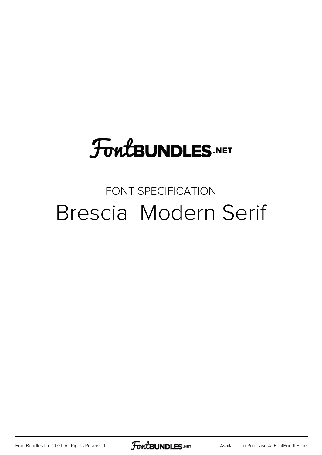### **FoutBUNDLES.NET**

#### FONT SPECIFICATION Brescia Modern Serif

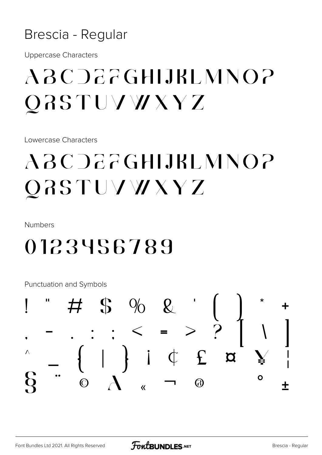#### Brescia - Regular

**Uppercase Characters** 

#### ABCDEFGHLIBLMNOP QRSTUVWXYZ

Lowercase Characters

#### ABC DEFGHLIBL MNOP QRSTUVWXYZ

**Numbers** 

#### 0123456789

Punctuation and Symbols

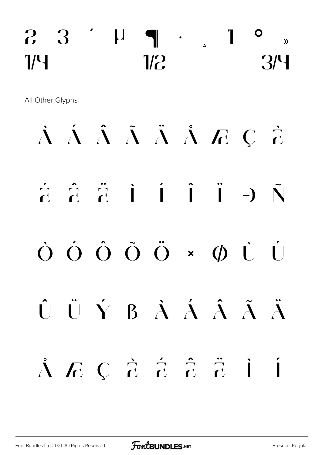#### $2 \quad 3 \quad 1 \quad 1 \quad 3 \quad$  $\frac{1}{9}$   $\frac{1}{2}$   $\frac{1}{2}$   $\frac{1}{2}$   $\frac{1}{3}$

All Other Glyphs

# À Á Â Ã Ä Å Æ Ç È  $\tilde{a}$   $\tilde{c}$   $\tilde{c}$   $\tilde{1}$   $\tilde{1}$   $\tilde{1}$   $\tilde{1}$   $\tilde{2}$   $\tilde{N}$ Ò Ó Ô Õ Ö × Ø Ù Ú Û Ü Ý ß à á â ã ä å æ ç è é ê ë ì í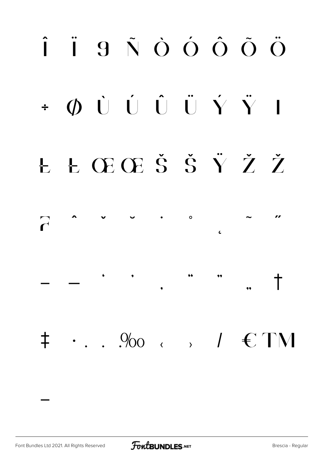## Î Ï 9 Ñ Ò Ó Ô Õ Ö  $\div$  0 0 0 0 0 0 0  $\ddot{\hspace{0.1cm}}$ Ł Ł Œ Œ Š Š Ÿ Ž Ž  $\circ$  $\overline{C}$  $\epsilon$  $\overline{\phantom{a}}$  $^\dagger$  $\bullet$  $\ddagger$